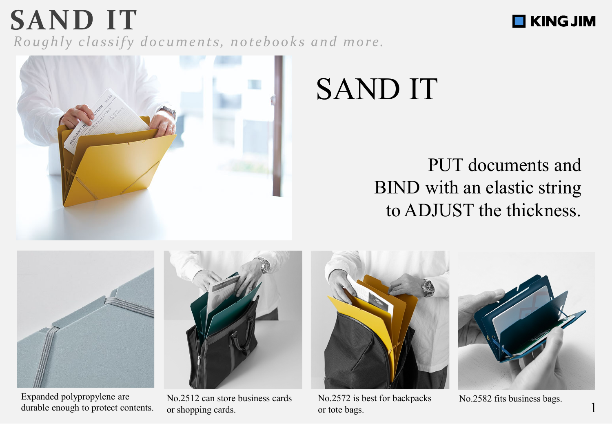*Roughly classify documents, notebooks and more.*



# SAND IT

## PUT documents and BIND with an elastic string to ADJUST the thickness.



**SAND IT**

Expanded polypropylene are Mo.2512 can store business cards No.2572 is best for backpacks No.2582 fits business bags. durable enough to protect contents.



or shopping cards.



No.2572 is best for backpacks or tote bags.



**NE KING JIM**